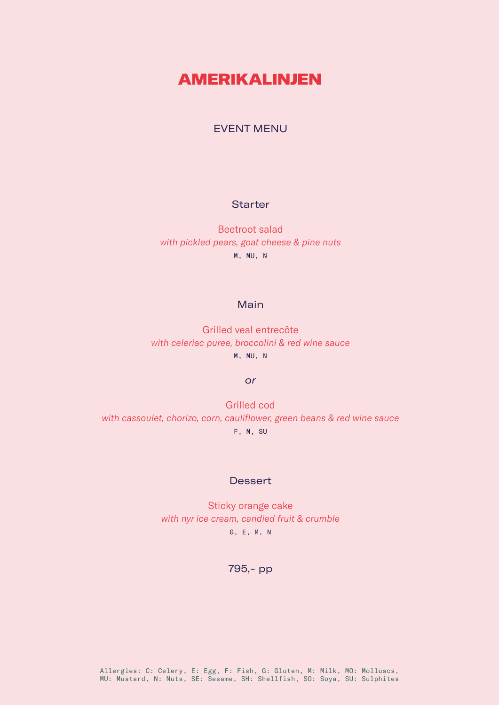# **AMERIKALINJEN**

## EVENT MENU

### **Starter**

Beetroot salad *with pickled pears, goat cheese & pine nuts* M, MU, N

## Main

Grilled veal entrecôte *with celeriac puree, broccolini & red wine sauce* M, MU, N

#### *or*

Grilled cod *with cassoulet, chorizo, corn, cauliflower, green beans & red wine sauce* F, M, SU

#### **Dessert**

Sticky orange cake *with nyr ice cream, candied fruit & crumble* G, E, M, N

795,- pp

Allergies: C: Celery, E: Egg, F: Fish, G: Gluten, M: Milk, MO: Molluscs, MU: Mustard, N: Nuts, SE: Sesame, SH: Shellfish, SO: Soya, SU: Sulphites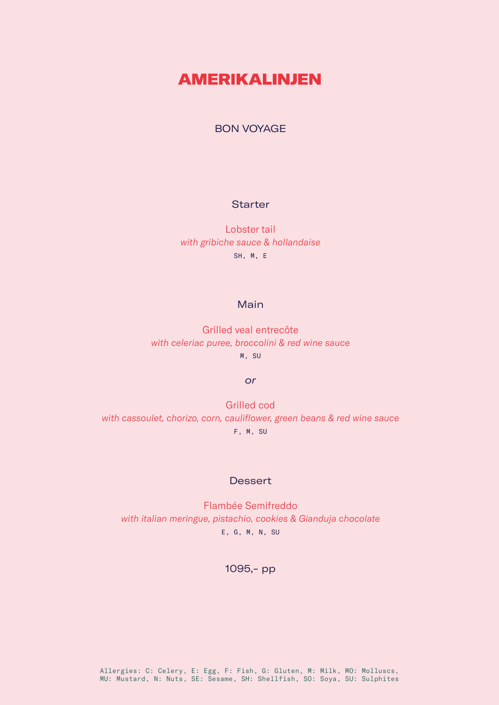# **AMERIKALINJEN**

## BON VOYAGE

#### **Starter**

Lobster tail *with gribiche sauce & hollandaise* SH, M, E

### Main

Grilled veal entrecôte *with celeriac puree, broccolini & red wine sauce* M, SU

#### *or*

Grilled cod *with cassoulet, chorizo, corn, cauliflower, green beans & red wine sauce* F, M, SU

#### **Dessert**

Flambée Semifreddo *with italian meringue, pistachio, cookies & Gianduja chocolate* E, G, M, N, SU

1095,- pp

Allergies: C: Celery, E: Egg, F: Fish, G: Gluten, M: Milk, MO: Molluscs, MU: Mustard, N: Nuts, SE: Sesame, SH: Shellfish, SO: Soya, SU: Sulphites